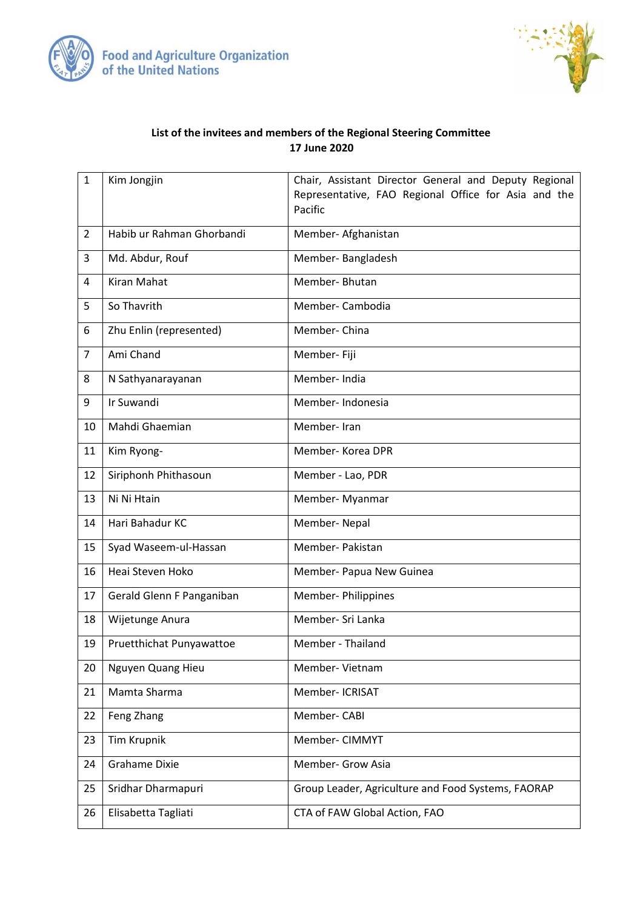



## **List of the invitees and members of the Regional Steering Committee 17 June 2020**

| $\mathbf{1}$   | Kim Jongjin               | Chair, Assistant Director General and Deputy Regional           |
|----------------|---------------------------|-----------------------------------------------------------------|
|                |                           | Representative, FAO Regional Office for Asia and the<br>Pacific |
|                |                           |                                                                 |
| $\overline{2}$ | Habib ur Rahman Ghorbandi | Member- Afghanistan                                             |
| 3              | Md. Abdur, Rouf           | Member-Bangladesh                                               |
| 4              | <b>Kiran Mahat</b>        | Member-Bhutan                                                   |
| 5              | So Thavrith               | Member-Cambodia                                                 |
| 6              | Zhu Enlin (represented)   | Member-China                                                    |
| $\overline{7}$ | Ami Chand                 | Member- Fiji                                                    |
| 8              | N Sathyanarayanan         | Member-India                                                    |
| 9              | Ir Suwandi                | Member-Indonesia                                                |
| 10             | Mahdi Ghaemian            | Member-Iran                                                     |
| 11             | Kim Ryong-                | Member-Korea DPR                                                |
| 12             | Siriphonh Phithasoun      | Member - Lao, PDR                                               |
| 13             | Ni Ni Htain               | Member- Myanmar                                                 |
| 14             | Hari Bahadur KC           | Member-Nepal                                                    |
| 15             | Syad Waseem-ul-Hassan     | Member-Pakistan                                                 |
| 16             | Heai Steven Hoko          | Member- Papua New Guinea                                        |
| 17             | Gerald Glenn F Panganiban | Member- Philippines                                             |
| 18             | Wijetunge Anura           | Member- Sri Lanka                                               |
| 19             | Pruetthichat Punyawattoe  | Member - Thailand                                               |
| 20             | Nguyen Quang Hieu         | Member-Vietnam                                                  |
| 21             | Mamta Sharma              | Member- ICRISAT                                                 |
| 22             | Feng Zhang                | Member-CABI                                                     |
| 23             | <b>Tim Krupnik</b>        | Member- CIMMYT                                                  |
| 24             | <b>Grahame Dixie</b>      | Member- Grow Asia                                               |
| 25             | Sridhar Dharmapuri        | Group Leader, Agriculture and Food Systems, FAORAP              |
| 26             | Elisabetta Tagliati       | CTA of FAW Global Action, FAO                                   |